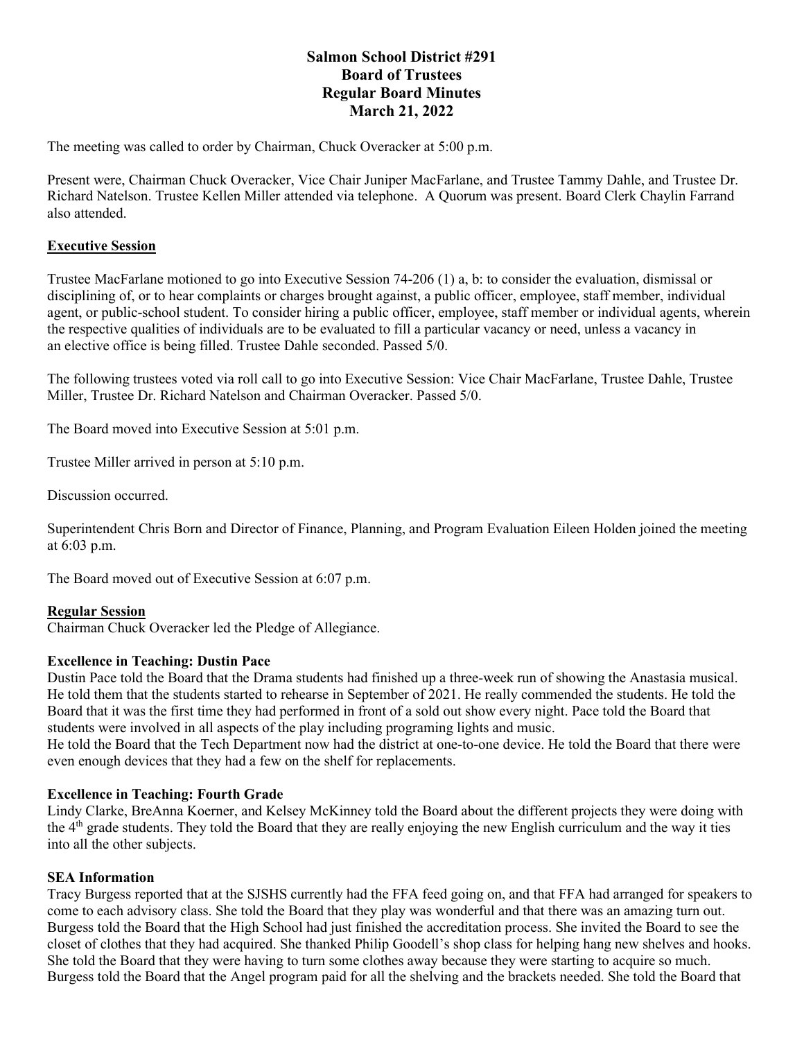# **Salmon School District #291 Board of Trustees Regular Board Minutes March 21, 2022**

The meeting was called to order by Chairman, Chuck Overacker at 5:00 p.m.

Present were, Chairman Chuck Overacker, Vice Chair Juniper MacFarlane, and Trustee Tammy Dahle, and Trustee Dr. Richard Natelson. Trustee Kellen Miller attended via telephone. A Quorum was present. Board Clerk Chaylin Farrand also attended.

# **Executive Session**

Trustee MacFarlane motioned to go into Executive Session 74-206 (1) a, b: to consider the evaluation, dismissal or disciplining of, or to hear complaints or charges brought against, a public officer, employee, staff member, individual agent, or public-school student. To consider hiring a public officer, employee, staff member or individual agents, wherein the respective qualities of individuals are to be evaluated to fill a particular vacancy or need, unless a vacancy in an elective office is being filled. Trustee Dahle seconded. Passed 5/0.

The following trustees voted via roll call to go into Executive Session: Vice Chair MacFarlane, Trustee Dahle, Trustee Miller, Trustee Dr. Richard Natelson and Chairman Overacker. Passed 5/0.

The Board moved into Executive Session at 5:01 p.m.

Trustee Miller arrived in person at 5:10 p.m.

Discussion occurred.

Superintendent Chris Born and Director of Finance, Planning, and Program Evaluation Eileen Holden joined the meeting at 6:03 p.m.

The Board moved out of Executive Session at 6:07 p.m.

### **Regular Session**

Chairman Chuck Overacker led the Pledge of Allegiance.

### **Excellence in Teaching: Dustin Pace**

Dustin Pace told the Board that the Drama students had finished up a three-week run of showing the Anastasia musical. He told them that the students started to rehearse in September of 2021. He really commended the students. He told the Board that it was the first time they had performed in front of a sold out show every night. Pace told the Board that students were involved in all aspects of the play including programing lights and music.

He told the Board that the Tech Department now had the district at one-to-one device. He told the Board that there were even enough devices that they had a few on the shelf for replacements.

### **Excellence in Teaching: Fourth Grade**

Lindy Clarke, BreAnna Koerner, and Kelsey McKinney told the Board about the different projects they were doing with the 4th grade students. They told the Board that they are really enjoying the new English curriculum and the way it ties into all the other subjects.

### **SEA Information**

Tracy Burgess reported that at the SJSHS currently had the FFA feed going on, and that FFA had arranged for speakers to come to each advisory class. She told the Board that they play was wonderful and that there was an amazing turn out. Burgess told the Board that the High School had just finished the accreditation process. She invited the Board to see the closet of clothes that they had acquired. She thanked Philip Goodell's shop class for helping hang new shelves and hooks. She told the Board that they were having to turn some clothes away because they were starting to acquire so much. Burgess told the Board that the Angel program paid for all the shelving and the brackets needed. She told the Board that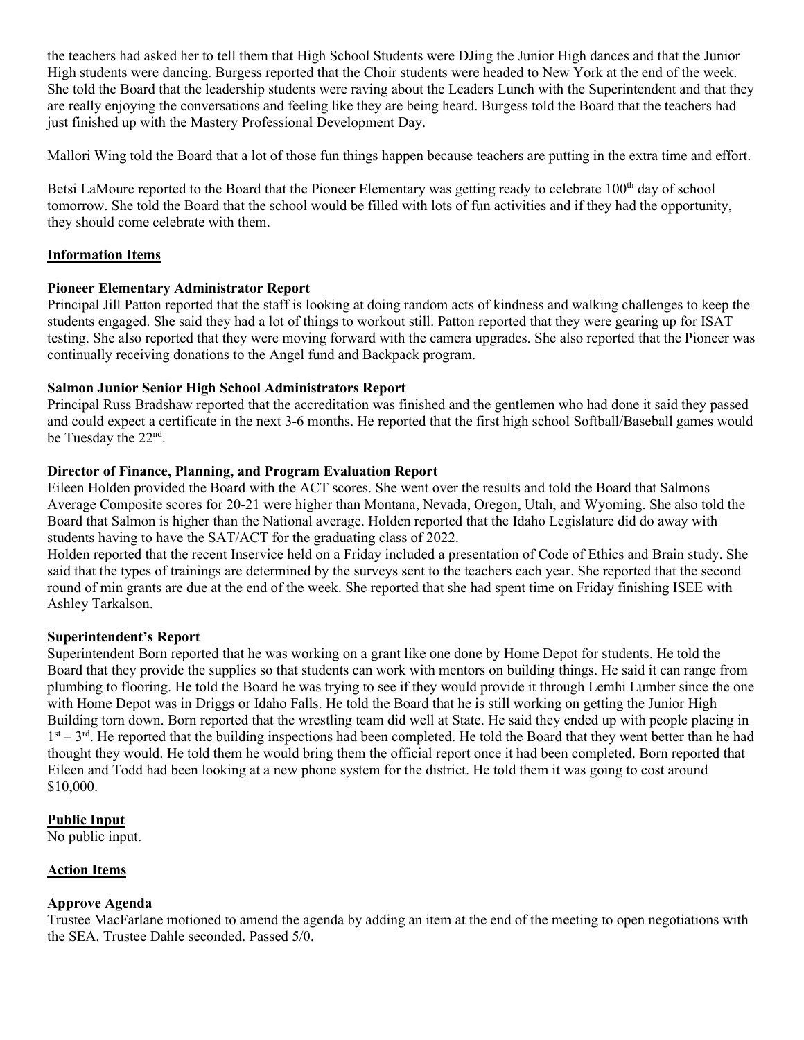the teachers had asked her to tell them that High School Students were DJing the Junior High dances and that the Junior High students were dancing. Burgess reported that the Choir students were headed to New York at the end of the week. She told the Board that the leadership students were raving about the Leaders Lunch with the Superintendent and that they are really enjoying the conversations and feeling like they are being heard. Burgess told the Board that the teachers had just finished up with the Mastery Professional Development Day.

Mallori Wing told the Board that a lot of those fun things happen because teachers are putting in the extra time and effort.

Betsi LaMoure reported to the Board that the Pioneer Elementary was getting ready to celebrate 100<sup>th</sup> day of school tomorrow. She told the Board that the school would be filled with lots of fun activities and if they had the opportunity, they should come celebrate with them.

# **Information Items**

# **Pioneer Elementary Administrator Report**

Principal Jill Patton reported that the staff is looking at doing random acts of kindness and walking challenges to keep the students engaged. She said they had a lot of things to workout still. Patton reported that they were gearing up for ISAT testing. She also reported that they were moving forward with the camera upgrades. She also reported that the Pioneer was continually receiving donations to the Angel fund and Backpack program.

### **Salmon Junior Senior High School Administrators Report**

Principal Russ Bradshaw reported that the accreditation was finished and the gentlemen who had done it said they passed and could expect a certificate in the next 3-6 months. He reported that the first high school Softball/Baseball games would be Tuesday the 22<sup>nd</sup>.

# **Director of Finance, Planning, and Program Evaluation Report**

Eileen Holden provided the Board with the ACT scores. She went over the results and told the Board that Salmons Average Composite scores for 20-21 were higher than Montana, Nevada, Oregon, Utah, and Wyoming. She also told the Board that Salmon is higher than the National average. Holden reported that the Idaho Legislature did do away with students having to have the SAT/ACT for the graduating class of 2022.

Holden reported that the recent Inservice held on a Friday included a presentation of Code of Ethics and Brain study. She said that the types of trainings are determined by the surveys sent to the teachers each year. She reported that the second round of min grants are due at the end of the week. She reported that she had spent time on Friday finishing ISEE with Ashley Tarkalson.

### **Superintendent's Report**

Superintendent Born reported that he was working on a grant like one done by Home Depot for students. He told the Board that they provide the supplies so that students can work with mentors on building things. He said it can range from plumbing to flooring. He told the Board he was trying to see if they would provide it through Lemhi Lumber since the one with Home Depot was in Driggs or Idaho Falls. He told the Board that he is still working on getting the Junior High Building torn down. Born reported that the wrestling team did well at State. He said they ended up with people placing in  $1<sup>st</sup> - 3<sup>rd</sup>$ . He reported that the building inspections had been completed. He told the Board that they went better than he had thought they would. He told them he would bring them the official report once it had been completed. Born reported that Eileen and Todd had been looking at a new phone system for the district. He told them it was going to cost around \$10,000.

# **Public Input**

No public input.

# **Action Items**

# **Approve Agenda**

Trustee MacFarlane motioned to amend the agenda by adding an item at the end of the meeting to open negotiations with the SEA. Trustee Dahle seconded. Passed 5/0.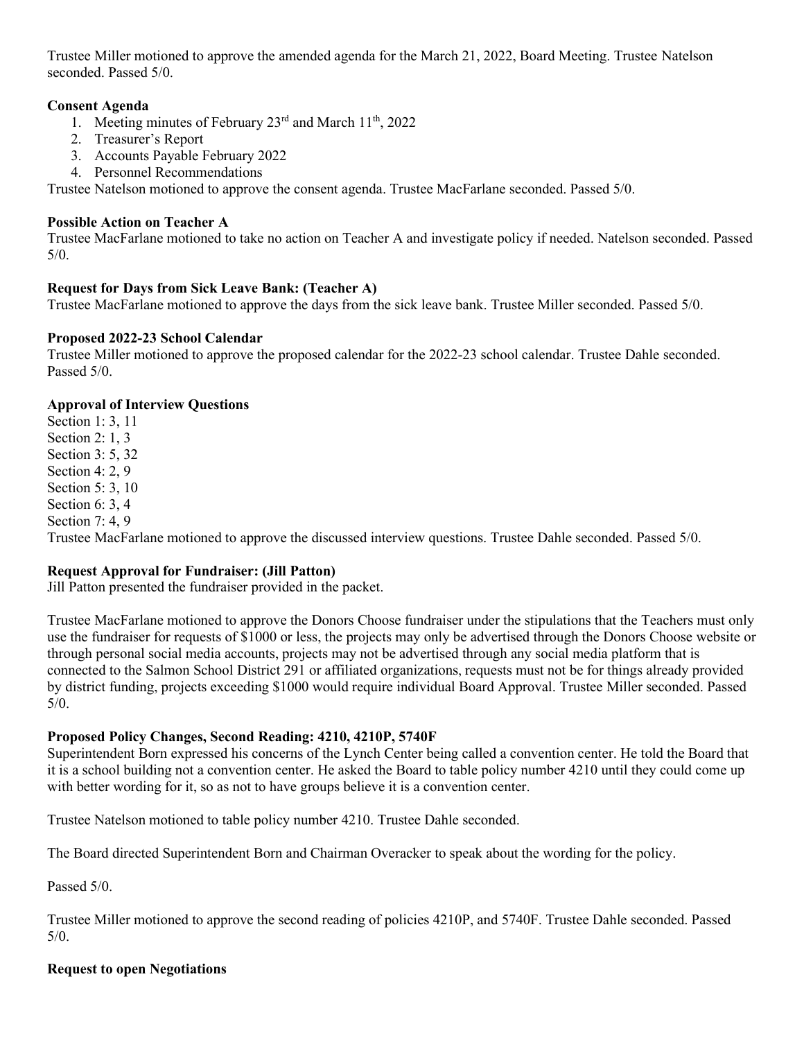Trustee Miller motioned to approve the amended agenda for the March 21, 2022, Board Meeting. Trustee Natelson seconded. Passed 5/0.

# **Consent Agenda**

- 1. Meeting minutes of February  $23<sup>rd</sup>$  and March  $11<sup>th</sup>$ ,  $2022$
- 2. Treasurer's Report
- 3. Accounts Payable February 2022
- 4. Personnel Recommendations

Trustee Natelson motioned to approve the consent agenda. Trustee MacFarlane seconded. Passed 5/0.

### **Possible Action on Teacher A**

Trustee MacFarlane motioned to take no action on Teacher A and investigate policy if needed. Natelson seconded. Passed 5/0.

# **Request for Days from Sick Leave Bank: (Teacher A)**

Trustee MacFarlane motioned to approve the days from the sick leave bank. Trustee Miller seconded. Passed 5/0.

# **Proposed 2022-23 School Calendar**

Trustee Miller motioned to approve the proposed calendar for the 2022-23 school calendar. Trustee Dahle seconded. Passed 5/0.

# **Approval of Interview Questions**

Section 1: 3, 11 Section 2: 1, 3 Section 3: 5, 32 Section 4: 2, 9 Section 5: 3, 10 Section 6: 3, 4 Section 7: 4, 9 Trustee MacFarlane motioned to approve the discussed interview questions. Trustee Dahle seconded. Passed 5/0.

# **Request Approval for Fundraiser: (Jill Patton)**

Jill Patton presented the fundraiser provided in the packet.

Trustee MacFarlane motioned to approve the Donors Choose fundraiser under the stipulations that the Teachers must only use the fundraiser for requests of \$1000 or less, the projects may only be advertised through the Donors Choose website or through personal social media accounts, projects may not be advertised through any social media platform that is connected to the Salmon School District 291 or affiliated organizations, requests must not be for things already provided by district funding, projects exceeding \$1000 would require individual Board Approval. Trustee Miller seconded. Passed 5/0.

### **Proposed Policy Changes, Second Reading: 4210, 4210P, 5740F**

Superintendent Born expressed his concerns of the Lynch Center being called a convention center. He told the Board that it is a school building not a convention center. He asked the Board to table policy number 4210 until they could come up with better wording for it, so as not to have groups believe it is a convention center.

Trustee Natelson motioned to table policy number 4210. Trustee Dahle seconded.

The Board directed Superintendent Born and Chairman Overacker to speak about the wording for the policy.

Passed 5/0.

Trustee Miller motioned to approve the second reading of policies 4210P, and 5740F. Trustee Dahle seconded. Passed  $5/0.$ 

### **Request to open Negotiations**